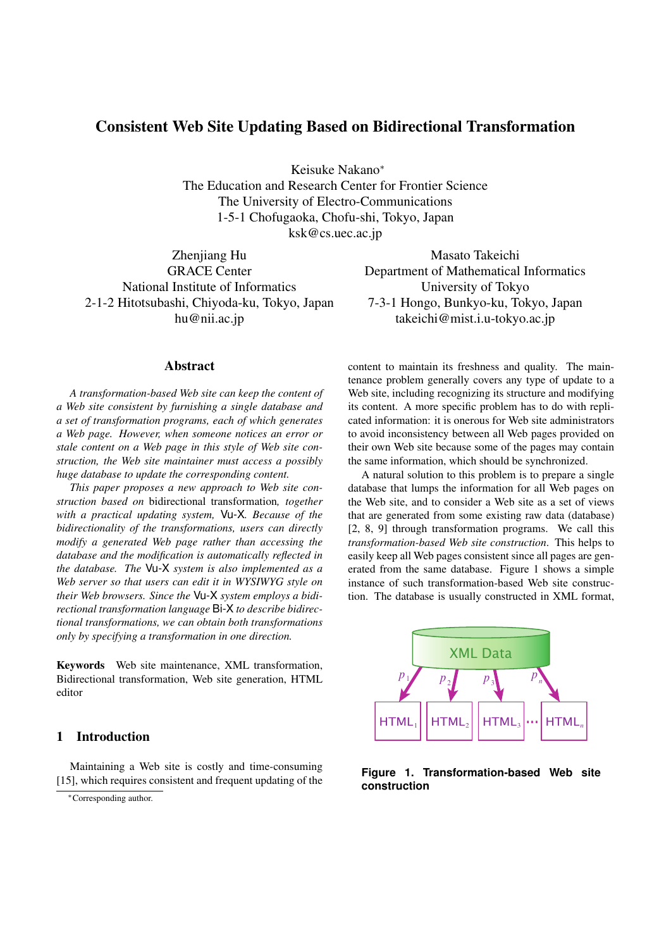# Consistent Web Site Updating Based on Bidirectional Transformation

Keisuke Nakano*<sup>∗</sup>*

The Education and Research Center for Frontier Science The University of Electro-Communications 1-5-1 Chofugaoka, Chofu-shi, Tokyo, Japan

ksk@cs.uec.ac.jp

Zhenjiang Hu GRACE Center National Institute of Informatics 2-1-2 Hitotsubashi, Chiyoda-ku, Tokyo, Japan hu@nii.ac.jp

Masato Takeichi Department of Mathematical Informatics University of Tokyo 7-3-1 Hongo, Bunkyo-ku, Tokyo, Japan takeichi@mist.i.u-tokyo.ac.jp

### Abstract

*A transformation-based Web site can keep the content of a Web site consistent by furnishing a single database and a set of transformation programs, each of which generates a Web page. However, when someone notices an error or stale content on a Web page in this style of Web site construction, the Web site maintainer must access a possibly huge database to update the corresponding content.*

*This paper proposes a new approach to Web site construction based on* bidirectional transformation*, together with a practical updating system,* Vu-X*. Because of the bidirectionality of the transformations, users can directly modify a generated Web page rather than accessing the database and the modification is automatically reflected in the database. The* Vu-X *system is also implemented as a Web server so that users can edit it in WYSIWYG style on their Web browsers. Since the* Vu-X *system employs a bidirectional transformation language* Bi-X *to describe bidirectional transformations, we can obtain both transformations only by specifying a transformation in one direction.*

Keywords Web site maintenance, XML transformation, Bidirectional transformation, Web site generation, HTML editor

# 1 Introduction

Maintaining a Web site is costly and time-consuming [15], which requires consistent and frequent updating of the content to maintain its freshness and quality. The maintenance problem generally covers any type of update to a Web site, including recognizing its structure and modifying its content. A more specific problem has to do with replicated information: it is onerous for Web site administrators to avoid inconsistency between all Web pages provided on their own Web site because some of the pages may contain the same information, which should be synchronized.

A natural solution to this problem is to prepare a single database that lumps the information for all Web pages on the Web site, and to consider a Web site as a set of views that are generated from some existing raw data (database) [2, 8, 9] through transformation programs. We call this *transformation-based Web site construction*. This helps to easily keep all Web pages consistent since all pages are generated from the same database. Figure 1 shows a simple instance of such transformation-based Web site construction. The database is usually constructed in XML format,



**Figure 1. Transformation-based Web site construction**

*<sup>∗</sup>*Corresponding author.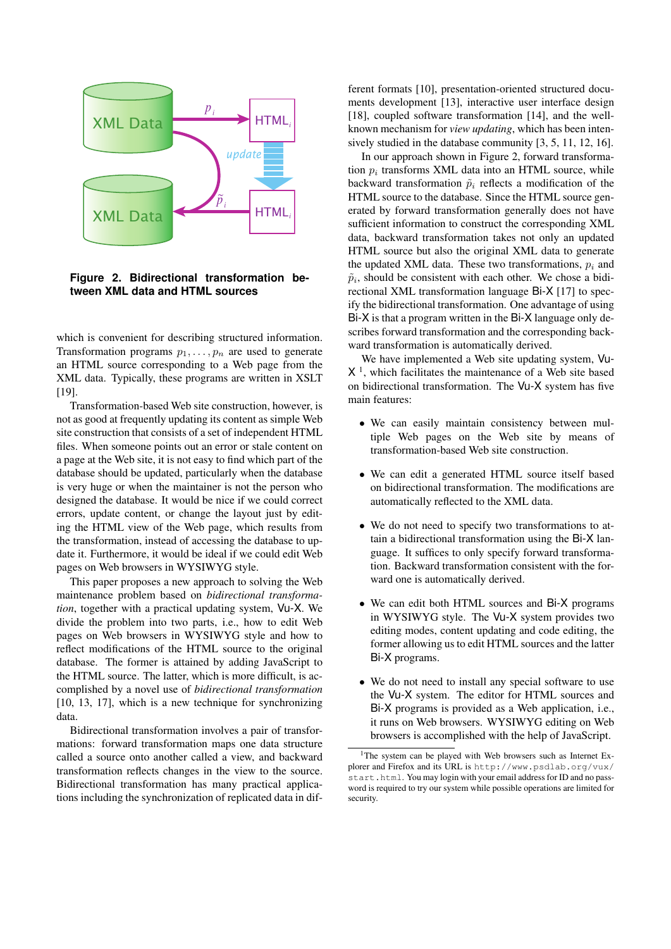

**Figure 2. Bidirectional transformation between XML data and HTML sources**

which is convenient for describing structured information. Transformation programs  $p_1, \ldots, p_n$  are used to generate an HTML source corresponding to a Web page from the XML data. Typically, these programs are written in XSLT [19].

Transformation-based Web site construction, however, is not as good at frequently updating its content as simple Web site construction that consists of a set of independent HTML files. When someone points out an error or stale content on a page at the Web site, it is not easy to find which part of the database should be updated, particularly when the database is very huge or when the maintainer is not the person who designed the database. It would be nice if we could correct errors, update content, or change the layout just by editing the HTML view of the Web page, which results from the transformation, instead of accessing the database to update it. Furthermore, it would be ideal if we could edit Web pages on Web browsers in WYSIWYG style.

This paper proposes a new approach to solving the Web maintenance problem based on *bidirectional transformation*, together with a practical updating system, Vu-X. We divide the problem into two parts, i.e., how to edit Web pages on Web browsers in WYSIWYG style and how to reflect modifications of the HTML source to the original database. The former is attained by adding JavaScript to the HTML source. The latter, which is more difficult, is accomplished by a novel use of *bidirectional transformation* [10, 13, 17], which is a new technique for synchronizing data.

Bidirectional transformation involves a pair of transformations: forward transformation maps one data structure called a source onto another called a view, and backward transformation reflects changes in the view to the source. Bidirectional transformation has many practical applications including the synchronization of replicated data in different formats [10], presentation-oriented structured documents development [13], interactive user interface design [18], coupled software transformation [14], and the wellknown mechanism for *view updating*, which has been intensively studied in the database community [3, 5, 11, 12, 16].

In our approach shown in Figure 2, forward transformation  $p_i$  transforms XML data into an HTML source, while backward transformation  $\tilde{p}_i$  reflects a modification of the HTML source to the database. Since the HTML source generated by forward transformation generally does not have sufficient information to construct the corresponding XML data, backward transformation takes not only an updated HTML source but also the original XML data to generate the updated XML data. These two transformations, *p<sup>i</sup>* and  $\tilde{p}_i$ , should be consistent with each other. We chose a bidirectional XML transformation language Bi-X [17] to specify the bidirectional transformation. One advantage of using Bi-X is that a program written in the Bi-X language only describes forward transformation and the corresponding backward transformation is automatically derived.

We have implemented a Web site updating system, Vu- $X<sup>1</sup>$ , which facilitates the maintenance of a Web site based on bidirectional transformation. The Vu-X system has five main features:

- *•* We can easily maintain consistency between multiple Web pages on the Web site by means of transformation-based Web site construction.
- *•* We can edit a generated HTML source itself based on bidirectional transformation. The modifications are automatically reflected to the XML data.
- We do not need to specify two transformations to attain a bidirectional transformation using the Bi-X language. It suffices to only specify forward transformation. Backward transformation consistent with the forward one is automatically derived.
- We can edit both HTML sources and Bi-X programs in WYSIWYG style. The Vu-X system provides two editing modes, content updating and code editing, the former allowing us to edit HTML sources and the latter Bi-X programs.
- *•* We do not need to install any special software to use the Vu-X system. The editor for HTML sources and Bi-X programs is provided as a Web application, i.e., it runs on Web browsers. WYSIWYG editing on Web browsers is accomplished with the help of JavaScript.

<sup>&</sup>lt;sup>1</sup>The system can be played with Web browsers such as Internet Explorer and Firefox and its URL is http://www.psdlab.org/vux/ start.html. You may login with your email address for ID and no password is required to try our system while possible operations are limited for security.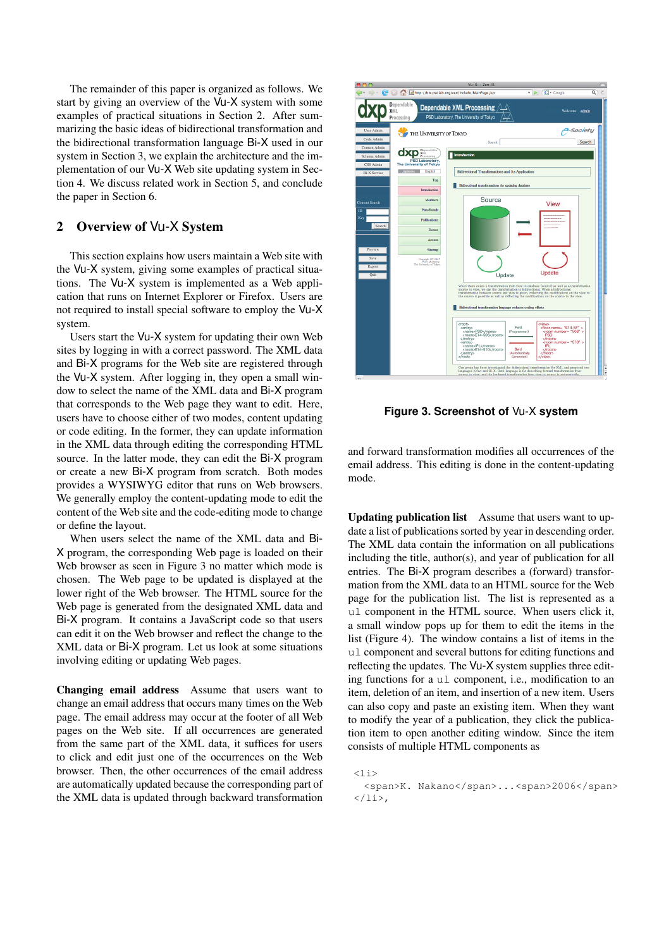The remainder of this paper is organized as follows. We start by giving an overview of the Vu-X system with some examples of practical situations in Section 2. After summarizing the basic ideas of bidirectional transformation and the bidirectional transformation language Bi-X used in our system in Section 3, we explain the architecture and the implementation of our Vu-X Web site updating system in Section 4. We discuss related work in Section 5, and conclude the paper in Section 6.

# 2 Overview of Vu-X System

This section explains how users maintain a Web site with the Vu-X system, giving some examples of practical situations. The Vu-X system is implemented as a Web application that runs on Internet Explorer or Firefox. Users are not required to install special software to employ the Vu-X system.

Users start the Vu-X system for updating their own Web sites by logging in with a correct password. The XML data and Bi-X programs for the Web site are registered through the Vu-X system. After logging in, they open a small window to select the name of the XML data and Bi-X program that corresponds to the Web page they want to edit. Here, users have to choose either of two modes, content updating or code editing. In the former, they can update information in the XML data through editing the corresponding HTML source. In the latter mode, they can edit the Bi-X program or create a new Bi-X program from scratch. Both modes provides a WYSIWYG editor that runs on Web browsers. We generally employ the content-updating mode to edit the content of the Web site and the code-editing mode to change or define the layout.

When users select the name of the XML data and Bi-X program, the corresponding Web page is loaded on their Web browser as seen in Figure 3 no matter which mode is chosen. The Web page to be updated is displayed at the lower right of the Web browser. The HTML source for the Web page is generated from the designated XML data and Bi-X program. It contains a JavaScript code so that users can edit it on the Web browser and reflect the change to the XML data or Bi-X program. Let us look at some situations involving editing or updating Web pages.

Changing email address Assume that users want to change an email address that occurs many times on the Web page. The email address may occur at the footer of all Web pages on the Web site. If all occurrences are generated from the same part of the XML data, it suffices for users to click and edit just one of the occurrences on the Web browser. Then, the other occurrences of the email address are automatically updated because the corresponding part of the XML data is updated through backward transformation



**Figure 3. Screenshot of** Vu-X **system**

and forward transformation modifies all occurrences of the email address. This editing is done in the content-updating mode.

Updating publication list Assume that users want to update a list of publications sorted by year in descending order. The XML data contain the information on all publications including the title, author(s), and year of publication for all entries. The Bi-X program describes a (forward) transformation from the XML data to an HTML source for the Web page for the publication list. The list is represented as a ul component in the HTML source. When users click it, a small window pops up for them to edit the items in the list (Figure 4). The window contains a list of items in the ul component and several buttons for editing functions and reflecting the updates. The Vu-X system supplies three editing functions for a ul component, i.e., modification to an item, deletion of an item, and insertion of a new item. Users can also copy and paste an existing item. When they want to modify the year of a publication, they click the publication item to open another editing window. Since the item consists of multiple HTML components as

 $\langle$ li>

<sup>&</sup>lt;span>K. Nakano</span>...<span>2006</span>  $\langle$ /li>,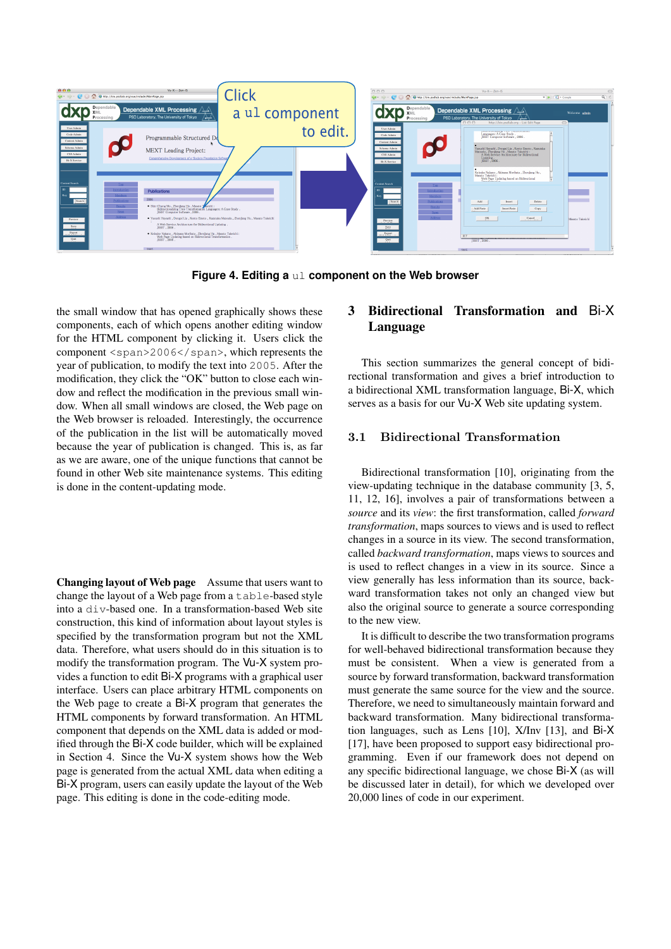

**Figure 4. Editing a** ul **component on the Web browser**

the small window that has opened graphically shows these components, each of which opens another editing window for the HTML component by clicking it. Users click the component <span>2006</span>, which represents the year of publication, to modify the text into 2005. After the modification, they click the "OK" button to close each window and reflect the modification in the previous small window. When all small windows are closed, the Web page on the Web browser is reloaded. Interestingly, the occurrence of the publication in the list will be automatically moved because the year of publication is changed. This is, as far as we are aware, one of the unique functions that cannot be found in other Web site maintenance systems. This editing is done in the content-updating mode.

Changing layout of Web page Assume that users want to change the layout of a Web page from a table-based style into a div-based one. In a transformation-based Web site construction, this kind of information about layout styles is specified by the transformation program but not the XML data. Therefore, what users should do in this situation is to modify the transformation program. The Vu-X system provides a function to edit Bi-X programs with a graphical user interface. Users can place arbitrary HTML components on the Web page to create a Bi-X program that generates the HTML components by forward transformation. An HTML component that depends on the XML data is added or modified through the Bi-X code builder, which will be explained in Section 4. Since the Vu-X system shows how the Web page is generated from the actual XML data when editing a Bi-X program, users can easily update the layout of the Web page. This editing is done in the code-editing mode.

# 3 Bidirectional Transformation and Bi-X Language

This section summarizes the general concept of bidirectional transformation and gives a brief introduction to a bidirectional XML transformation language, Bi-X, which serves as a basis for our Vu-X Web site updating system.

# **3.1 Bidirectional Transformation**

Bidirectional transformation [10], originating from the view-updating technique in the database community [3, 5, 11, 12, 16], involves a pair of transformations between a *source* and its *view*: the first transformation, called *forward transformation*, maps sources to views and is used to reflect changes in a source in its view. The second transformation, called *backward transformation*, maps views to sources and is used to reflect changes in a view in its source. Since a view generally has less information than its source, backward transformation takes not only an changed view but also the original source to generate a source corresponding to the new view.

It is difficult to describe the two transformation programs for well-behaved bidirectional transformation because they must be consistent. When a view is generated from a source by forward transformation, backward transformation must generate the same source for the view and the source. Therefore, we need to simultaneously maintain forward and backward transformation. Many bidirectional transformation languages, such as Lens [10], X/Inv [13], and Bi-X [17], have been proposed to support easy bidirectional programming. Even if our framework does not depend on any specific bidirectional language, we chose Bi-X (as will be discussed later in detail), for which we developed over 20,000 lines of code in our experiment.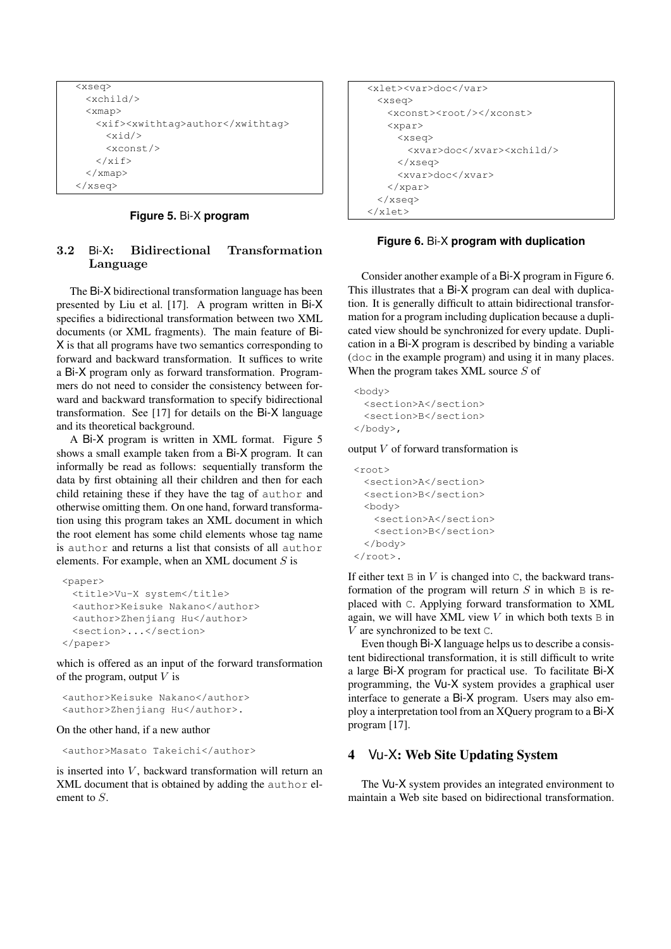```
<xseq>
 <xchild/>
 <xmap>
    <xif><xwithtag>author</xwithtag>
      \langle xid \rangle<xconst/>
    \langle xif5</xmap>
</xseq>
```
**Figure 5.** Bi-X **program**

# **3.2** Bi-X**: Bidirectional Transformation Language**

The Bi-X bidirectional transformation language has been presented by Liu et al. [17]. A program written in Bi-X specifies a bidirectional transformation between two XML documents (or XML fragments). The main feature of Bi-X is that all programs have two semantics corresponding to forward and backward transformation. It suffices to write a Bi-X program only as forward transformation. Programmers do not need to consider the consistency between forward and backward transformation to specify bidirectional transformation. See [17] for details on the Bi-X language and its theoretical background.

A Bi-X program is written in XML format. Figure 5 shows a small example taken from a Bi-X program. It can informally be read as follows: sequentially transform the data by first obtaining all their children and then for each child retaining these if they have the tag of author and otherwise omitting them. On one hand, forward transformation using this program takes an XML document in which the root element has some child elements whose tag name is author and returns a list that consists of all author elements. For example, when an XML document *S* is

```
<paper>
 <title>Vu-X system</title>
 <author>Keisuke Nakano</author>
 <author>Zhenjiang Hu</author>
 <section>...</section>
</paper>
```
which is offered as an input of the forward transformation of the program, output *V* is

```
<author>Keisuke Nakano</author>
<author>Zhenjiang Hu</author>.
```
#### On the other hand, if a new author

```
<author>Masato Takeichi</author>
```
is inserted into *V*, backward transformation will return an XML document that is obtained by adding the author element to *S*.

```
<xlet><var>doc</var>
 <xseq>
   <xconst><root/>></xconst>
   <xpar>
     <xseq>
       <xvar>doc</xvar><xchild/>
     </xseq>
     <xvar>doc</xvar>
   </xpar>
 </xseq>
</xlet>
```
**Figure 6.** Bi-X **program with duplication**

Consider another example of a Bi-X program in Figure 6. This illustrates that a Bi-X program can deal with duplication. It is generally difficult to attain bidirectional transformation for a program including duplication because a duplicated view should be synchronized for every update. Duplication in a Bi-X program is described by binding a variable (doc in the example program) and using it in many places. When the program takes XML source *S* of

```
<body>
 <section>A</section>
 <section>B</section>
</body>,
```
output *V* of forward transformation is

```
<root><section>A</section>
 <section>B</section>
 <body>
   <section>A</section>
   <section>B</section>
 </body>
</root>.
```
If either text  $\mathbb B$  in  $V$  is changed into  $\mathbb C$ , the backward transformation of the program will return *S* in which B is replaced with C. Applying forward transformation to XML again, we will have XML view *V* in which both texts B in *V* are synchronized to be text C.

Even though Bi-X language helps us to describe a consistent bidirectional transformation, it is still difficult to write a large Bi-X program for practical use. To facilitate Bi-X programming, the Vu-X system provides a graphical user interface to generate a Bi-X program. Users may also employ a interpretation tool from an XQuery program to a Bi-X program [17].

# 4 Vu-X: Web Site Updating System

The Vu-X system provides an integrated environment to maintain a Web site based on bidirectional transformation.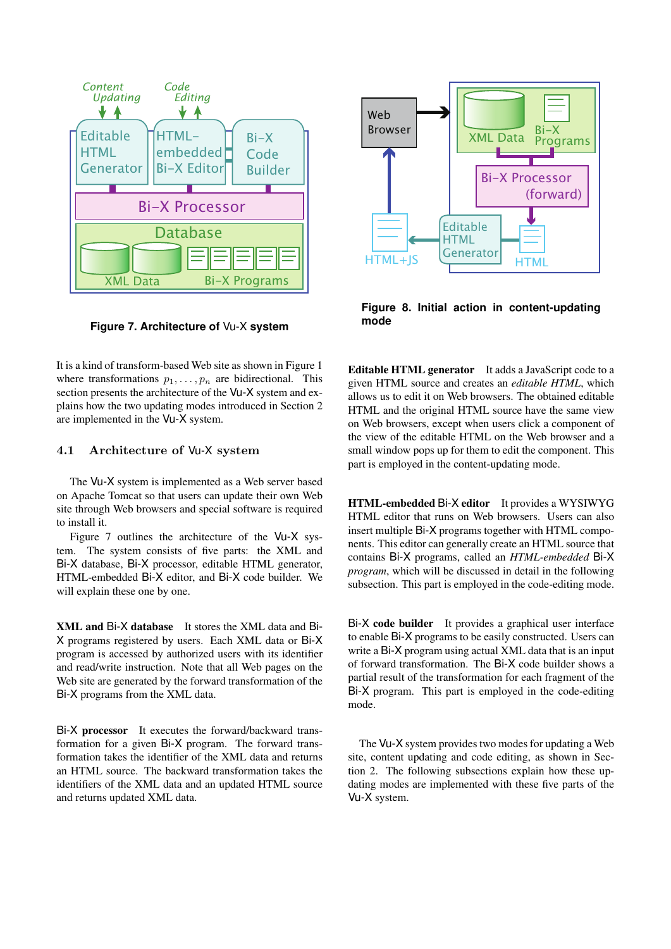

**Figure 7. Architecture of** Vu-X **system**

It is a kind of transform-based Web site as shown in Figure 1 where transformations  $p_1, \ldots, p_n$  are bidirectional. This section presents the architecture of the Vu-X system and explains how the two updating modes introduced in Section 2 are implemented in the Vu-X system.

### **4.1 Architecture of** Vu-X **system**

The Vu-X system is implemented as a Web server based on Apache Tomcat so that users can update their own Web site through Web browsers and special software is required to install it.

Figure 7 outlines the architecture of the Vu-X system. The system consists of five parts: the XML and Bi-X database, Bi-X processor, editable HTML generator, HTML-embedded Bi-X editor, and Bi-X code builder. We will explain these one by one.

XML and Bi-X database It stores the XML data and Bi-X programs registered by users. Each XML data or Bi-X program is accessed by authorized users with its identifier and read/write instruction. Note that all Web pages on the Web site are generated by the forward transformation of the Bi-X programs from the XML data.

Bi-X processor It executes the forward/backward transformation for a given Bi-X program. The forward transformation takes the identifier of the XML data and returns an HTML source. The backward transformation takes the identifiers of the XML data and an updated HTML source



**Figure 8. Initial action in content-updating mode**

Editable HTML generator It adds a JavaScript code to a given HTML source and creates an *editable HTML*, which allows us to edit it on Web browsers. The obtained editable HTML and the original HTML source have the same view on Web browsers, except when users click a component of the view of the editable HTML on the Web browser and a small window pops up for them to edit the component. This part is employed in the content-updating mode.

HTML-embedded Bi-X editor It provides a WYSIWYG HTML editor that runs on Web browsers. Users can also insert multiple Bi-X programs together with HTML components. This editor can generally create an HTML source that contains Bi-X programs, called an *HTML-embedded* Bi-X *program*, which will be discussed in detail in the following subsection. This part is employed in the code-editing mode.

Bi-X code builder It provides a graphical user interface to enable Bi-X programs to be easily constructed. Users can write a Bi-X program using actual XML data that is an input of forward transformation. The Bi-X code builder shows a partial result of the transformation for each fragment of the Bi-X program. This part is employed in the code-editing mode.

The Vu-X system provides two modes for updating a Web site, content updating and code editing, as shown in Section 2. The following subsections explain how these updating modes are implemented with these five parts of the Vu-X system.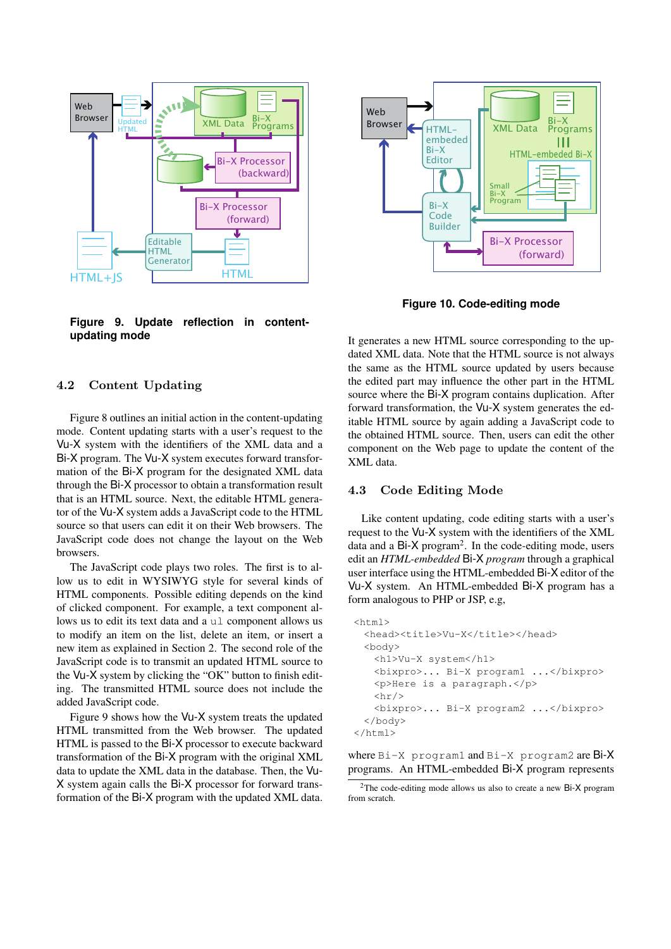

**Figure 9. Update reflection in contentupdating mode**

#### **4.2 Content Updating**

Figure 8 outlines an initial action in the content-updating mode. Content updating starts with a user's request to the Vu-X system with the identifiers of the XML data and a Bi-X program. The Vu-X system executes forward transformation of the Bi-X program for the designated XML data through the Bi-X processor to obtain a transformation result that is an HTML source. Next, the editable HTML generator of the Vu-X system adds a JavaScript code to the HTML source so that users can edit it on their Web browsers. The JavaScript code does not change the layout on the Web browsers.

The JavaScript code plays two roles. The first is to allow us to edit in WYSIWYG style for several kinds of HTML components. Possible editing depends on the kind of clicked component. For example, a text component allows us to edit its text data and a ul component allows us to modify an item on the list, delete an item, or insert a new item as explained in Section 2. The second role of the JavaScript code is to transmit an updated HTML source to the Vu-X system by clicking the "OK" button to finish editing. The transmitted HTML source does not include the added JavaScript code.

Figure 9 shows how the Vu-X system treats the updated HTML transmitted from the Web browser. The updated HTML is passed to the Bi-X processor to execute backward transformation of the Bi-X program with the original XML data to update the XML data in the database. Then, the Vu-X system again calls the Bi-X processor for forward transformation of the Bi-X program with the updated XML data.



**Figure 10. Code-editing mode**

It generates a new HTML source corresponding to the updated XML data. Note that the HTML source is not always the same as the HTML source updated by users because the edited part may influence the other part in the HTML source where the Bi-X program contains duplication. After forward transformation, the Vu-X system generates the editable HTML source by again adding a JavaScript code to the obtained HTML source. Then, users can edit the other component on the Web page to update the content of the XML data.

### **4.3 Code Editing Mode**

Like content updating, code editing starts with a user's request to the Vu-X system with the identifiers of the XML data and a Bi-X program<sup>2</sup>. In the code-editing mode, users edit an *HTML-embedded* Bi-X *program* through a graphical user interface using the HTML-embedded Bi-X editor of the Vu-X system. An HTML-embedded Bi-X program has a form analogous to PHP or JSP, e.g,

```
<html>
 <head><title>Vu-X</title></head>
 <body>
   <h1>Vu-X system</h1>
   <bixpro>... Bi-X program1 ...</bixpro>
   <p>Here is a paragraph.</p>
   \frac{1}{2}<bixpro>... Bi-X program2 ...</bixpro>
 </body>
</html>
```
where Bi-X program1 and Bi-X program2 are Bi-X programs. An HTML-embedded Bi-X program represents

<sup>2</sup>The code-editing mode allows us also to create a new Bi-X program from scratch.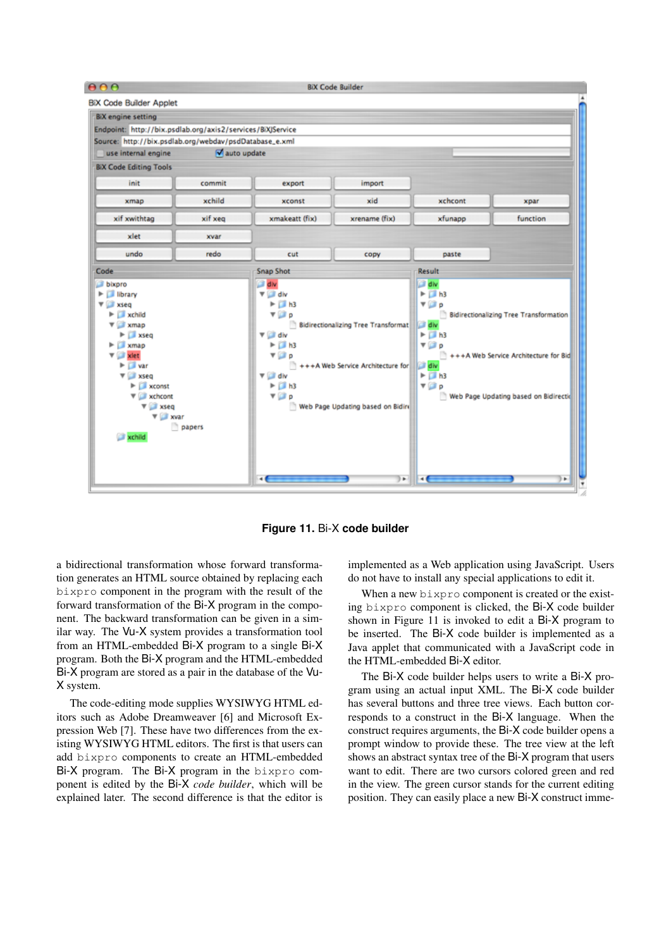

**Figure 11.** Bi-X **code builder**

a bidirectional transformation whose forward transformation generates an HTML source obtained by replacing each bixpro component in the program with the result of the forward transformation of the Bi-X program in the component. The backward transformation can be given in a similar way. The Vu-X system provides a transformation tool from an HTML-embedded Bi-X program to a single Bi-X program. Both the Bi-X program and the HTML-embedded Bi-X program are stored as a pair in the database of the Vu-X system.

The code-editing mode supplies WYSIWYG HTML editors such as Adobe Dreamweaver [6] and Microsoft Expression Web [7]. These have two differences from the existing WYSIWYG HTML editors. The first is that users can add bixpro components to create an HTML-embedded Bi-X program. The Bi-X program in the bixpro component is edited by the Bi-X *code builder*, which will be explained later. The second difference is that the editor is

implemented as a Web application using JavaScript. Users do not have to install any special applications to edit it.

When a new bixpro component is created or the existing bixpro component is clicked, the Bi-X code builder shown in Figure 11 is invoked to edit a Bi-X program to be inserted. The Bi-X code builder is implemented as a Java applet that communicated with a JavaScript code in the HTML-embedded Bi-X editor.

The Bi-X code builder helps users to write a Bi-X program using an actual input XML. The Bi-X code builder has several buttons and three tree views. Each button corresponds to a construct in the Bi-X language. When the construct requires arguments, the Bi-X code builder opens a prompt window to provide these. The tree view at the left shows an abstract syntax tree of the Bi-X program that users want to edit. There are two cursors colored green and red in the view. The green cursor stands for the current editing position. They can easily place a new Bi-X construct imme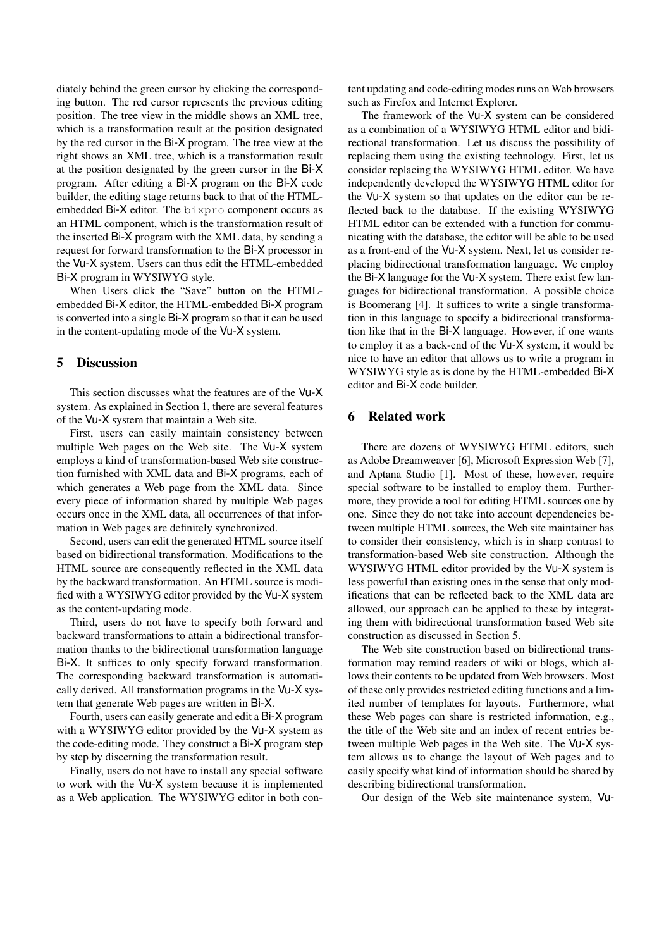diately behind the green cursor by clicking the corresponding button. The red cursor represents the previous editing position. The tree view in the middle shows an XML tree, which is a transformation result at the position designated by the red cursor in the Bi-X program. The tree view at the right shows an XML tree, which is a transformation result at the position designated by the green cursor in the Bi-X program. After editing a Bi-X program on the Bi-X code builder, the editing stage returns back to that of the HTMLembedded Bi-X editor. The bixpro component occurs as an HTML component, which is the transformation result of the inserted Bi-X program with the XML data, by sending a request for forward transformation to the Bi-X processor in the Vu-X system. Users can thus edit the HTML-embedded Bi-X program in WYSIWYG style.

When Users click the "Save" button on the HTMLembedded Bi-X editor, the HTML-embedded Bi-X program is converted into a single Bi-X program so that it can be used in the content-updating mode of the Vu-X system.

### 5 Discussion

This section discusses what the features are of the Vu-X system. As explained in Section 1, there are several features of the Vu-X system that maintain a Web site.

First, users can easily maintain consistency between multiple Web pages on the Web site. The Vu-X system employs a kind of transformation-based Web site construction furnished with XML data and Bi-X programs, each of which generates a Web page from the XML data. Since every piece of information shared by multiple Web pages occurs once in the XML data, all occurrences of that information in Web pages are definitely synchronized.

Second, users can edit the generated HTML source itself based on bidirectional transformation. Modifications to the HTML source are consequently reflected in the XML data by the backward transformation. An HTML source is modified with a WYSIWYG editor provided by the Vu-X system as the content-updating mode.

Third, users do not have to specify both forward and backward transformations to attain a bidirectional transformation thanks to the bidirectional transformation language Bi-X. It suffices to only specify forward transformation. The corresponding backward transformation is automatically derived. All transformation programs in the Vu-X system that generate Web pages are written in Bi-X.

Fourth, users can easily generate and edit a Bi-X program with a WYSIWYG editor provided by the Vu-X system as the code-editing mode. They construct a Bi-X program step by step by discerning the transformation result.

Finally, users do not have to install any special software to work with the Vu-X system because it is implemented as a Web application. The WYSIWYG editor in both content updating and code-editing modes runs on Web browsers such as Firefox and Internet Explorer.

The framework of the Vu-X system can be considered as a combination of a WYSIWYG HTML editor and bidirectional transformation. Let us discuss the possibility of replacing them using the existing technology. First, let us consider replacing the WYSIWYG HTML editor. We have independently developed the WYSIWYG HTML editor for the Vu-X system so that updates on the editor can be reflected back to the database. If the existing WYSIWYG HTML editor can be extended with a function for communicating with the database, the editor will be able to be used as a front-end of the Vu-X system. Next, let us consider replacing bidirectional transformation language. We employ the Bi-X language for the Vu-X system. There exist few languages for bidirectional transformation. A possible choice is Boomerang [4]. It suffices to write a single transformation in this language to specify a bidirectional transformation like that in the Bi-X language. However, if one wants to employ it as a back-end of the Vu-X system, it would be nice to have an editor that allows us to write a program in WYSIWYG style as is done by the HTML-embedded Bi-X editor and Bi-X code builder.

### 6 Related work

There are dozens of WYSIWYG HTML editors, such as Adobe Dreamweaver [6], Microsoft Expression Web [7], and Aptana Studio [1]. Most of these, however, require special software to be installed to employ them. Furthermore, they provide a tool for editing HTML sources one by one. Since they do not take into account dependencies between multiple HTML sources, the Web site maintainer has to consider their consistency, which is in sharp contrast to transformation-based Web site construction. Although the WYSIWYG HTML editor provided by the Vu-X system is less powerful than existing ones in the sense that only modifications that can be reflected back to the XML data are allowed, our approach can be applied to these by integrating them with bidirectional transformation based Web site construction as discussed in Section 5.

The Web site construction based on bidirectional transformation may remind readers of wiki or blogs, which allows their contents to be updated from Web browsers. Most of these only provides restricted editing functions and a limited number of templates for layouts. Furthermore, what these Web pages can share is restricted information, e.g., the title of the Web site and an index of recent entries between multiple Web pages in the Web site. The Vu-X system allows us to change the layout of Web pages and to easily specify what kind of information should be shared by describing bidirectional transformation.

Our design of the Web site maintenance system, Vu-